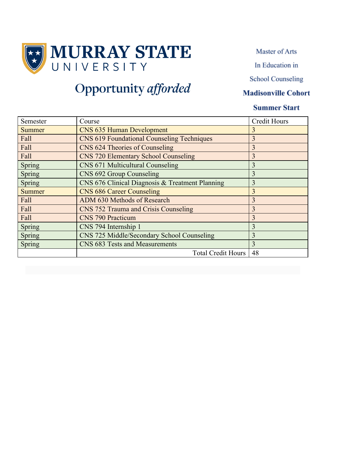

Master of Arts

In Education in

**School Counseling** 

#### **Madisonville Cohort**

### **Summer Start**

| Semester      | Course                                            | <b>Credit Hours</b> |
|---------------|---------------------------------------------------|---------------------|
| <b>Summer</b> | <b>CNS 635 Human Development</b>                  | 3                   |
| Fall          | <b>CNS 619 Foundational Counseling Techniques</b> | $\overline{3}$      |
| Fall          | CNS 624 Theories of Counseling                    | 3                   |
| Fall          | <b>CNS 720 Elementary School Counseling</b>       | 3                   |
| Spring        | CNS 671 Multicultural Counseling                  | 3                   |
| Spring        | CNS 692 Group Counseling                          | 3                   |
| Spring        | CNS 676 Clinical Diagnosis & Treatment Planning   | 3                   |
| <b>Summer</b> | <b>CNS 686 Career Counseling</b>                  | 3                   |
| Fall          | ADM 630 Methods of Research                       | $\overline{3}$      |
| Fall          | CNS 752 Trauma and Crisis Counseling              | 3                   |
| Fall          | <b>CNS 790 Practicum</b>                          | 3                   |
| Spring        | CNS 794 Internship 1                              | 3                   |
| Spring        | CNS 725 Middle/Secondary School Counseling        | $\overline{3}$      |
| Spring        | CNS 683 Tests and Measurements                    | $\overline{3}$      |
|               | <b>Total Credit Hours</b>                         | 48                  |

# Opportunity afforded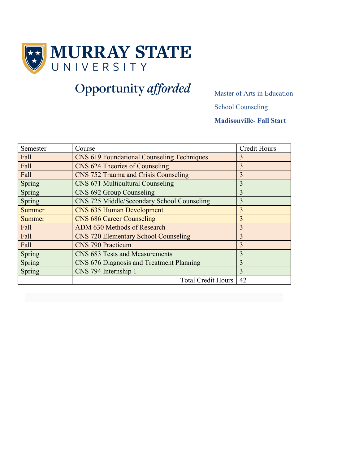

# **Opportunity afforded** Master of Arts in Education

School Counseling

**Madisonville- Fall Start**

| Semester      | Course                                            | <b>Credit Hours</b> |
|---------------|---------------------------------------------------|---------------------|
| Fall          | <b>CNS 619 Foundational Counseling Techniques</b> | 3                   |
| Fall          | CNS 624 Theories of Counseling                    | 3                   |
| Fall          | CNS 752 Trauma and Crisis Counseling              | 3                   |
| Spring        | CNS 671 Multicultural Counseling                  | 3                   |
| Spring        | CNS 692 Group Counseling                          | 3                   |
| Spring        | CNS 725 Middle/Secondary School Counseling        | 3                   |
| <b>Summer</b> | <b>CNS 635 Human Development</b>                  | $\overline{3}$      |
| Summer        | <b>CNS 686 Career Counseling</b>                  | 3                   |
| Fall          | ADM 630 Methods of Research                       | 3                   |
| Fall          | <b>CNS 720 Elementary School Counseling</b>       | $\overline{3}$      |
| Fall          | <b>CNS 790 Practicum</b>                          | 3                   |
| Spring        | CNS 683 Tests and Measurements                    | 3                   |
| Spring        | CNS 676 Diagnosis and Treatment Planning<br>3     |                     |
| Spring        | CNS 794 Internship 1<br>3                         |                     |
|               | <b>Total Credit Hours</b>                         | 42                  |